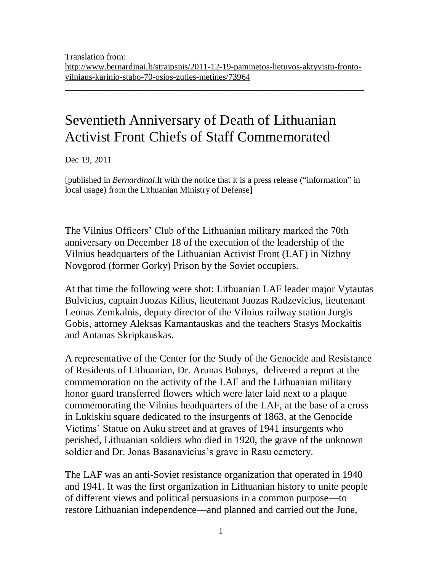\_\_\_\_\_\_\_\_\_\_\_\_\_\_\_\_\_\_\_\_\_\_\_\_\_\_\_\_\_\_\_\_\_\_\_\_\_\_\_\_\_\_\_\_\_\_\_\_\_\_\_\_\_\_\_\_\_\_\_\_\_\_\_\_\_\_\_\_\_

## Seventieth Anniversary of Death of Lithuanian Activist Front Chiefs of Staff Commemorated

Dec 19, 2011

[published in *Bernardinai*.lt with the notice that it is a press release ("information" in local usage) from the Lithuanian Ministry of Defense]

The Vilnius Officers' Club of the Lithuanian military marked the 70th anniversary on December 18 of the execution of the leadership of the Vilnius headquarters of the Lithuanian Activist Front (LAF) in Nizhny Novgorod (former Gorky) Prison by the Soviet occupiers.

At that time the following were shot: Lithuanian LAF leader major Vytautas Bulvicius, captain Juozas Kilius, lieutenant Juozas Radzevicius, lieutenant Leonas Zemkalnis, deputy director of the Vilnius railway station Jurgis Gobis, attorney Aleksas Kamantauskas and the teachers Stasys Mockaitis and Antanas Skripkauskas.

A representative of the Center for the Study of the Genocide and Resistance of Residents of Lithuanian, Dr. Arunas Bubnys, delivered a report at the commemoration on the activity of the LAF and the Lithuanian military honor guard transferred flowers which were later laid next to a plaque commemorating the Vilnius headquarters of the LAF, at the base of a cross in Lukiskiu square dedicated to the insurgents of 1863, at the Genocide Victims' Statue on Auku street and at graves of 1941 insurgents who perished, Lithuanian soldiers who died in 1920, the grave of the unknown soldier and Dr. Jonas Basanavicius's grave in Rasu cemetery.

The LAF was an anti-Soviet resistance organization that operated in 1940 and 1941. It was the first organization in Lithuanian history to unite people of different views and political persuasions in a common purpose—to restore Lithuanian independence—and planned and carried out the June,